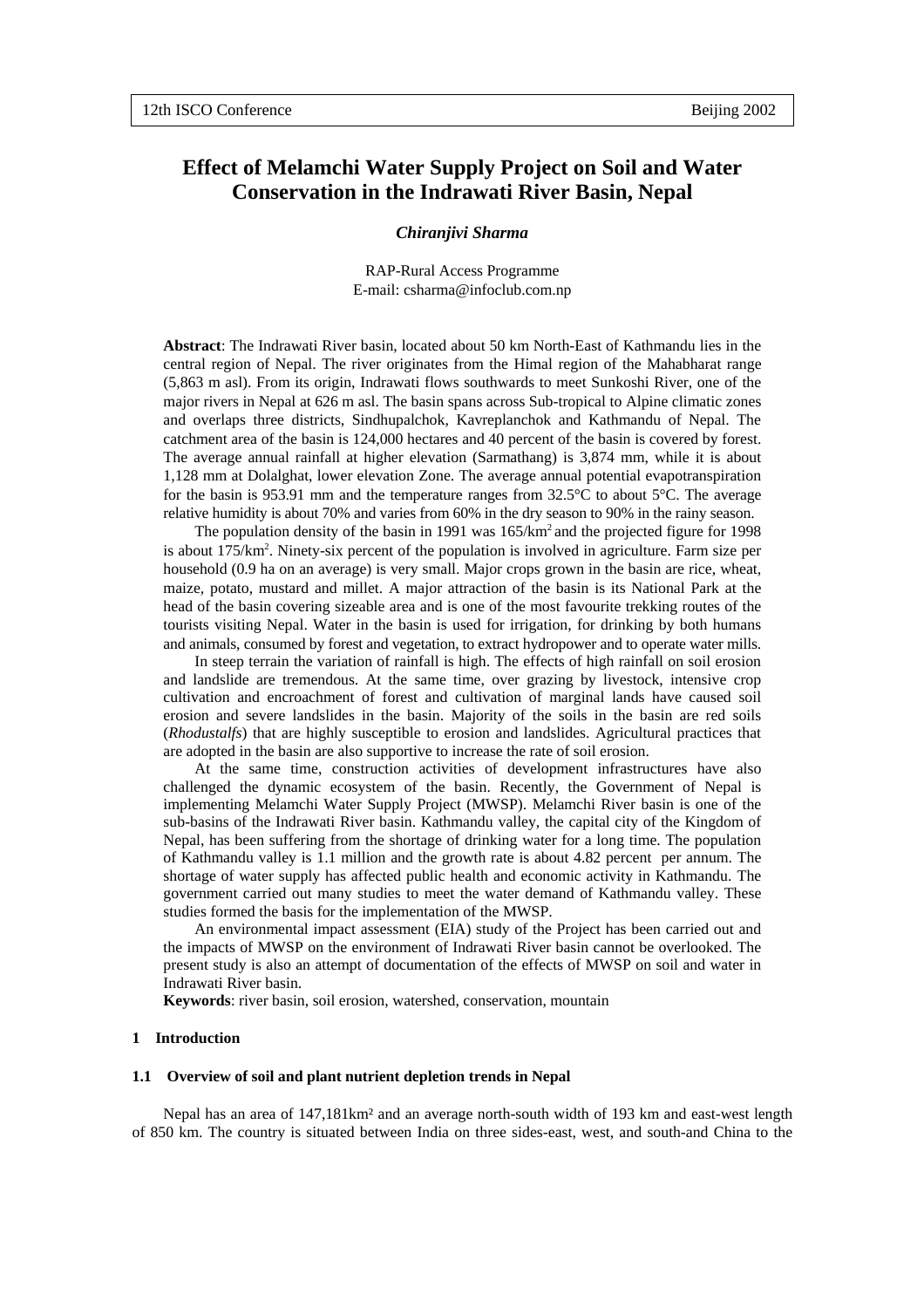# **Effect of Melamchi Water Supply Project on Soil and Water Conservation in the Indrawati River Basin, Nepal**

## *Chiranjivi Sharma*

RAP-Rural Access Programme E-mail: csharma@infoclub.com.np

**Abstract**: The Indrawati River basin, located about 50 km North-East of Kathmandu lies in the central region of Nepal. The river originates from the Himal region of the Mahabharat range (5,863 m asl). From its origin, Indrawati flows southwards to meet Sunkoshi River, one of the major rivers in Nepal at 626 m asl. The basin spans across Sub-tropical to Alpine climatic zones and overlaps three districts, Sindhupalchok, Kavreplanchok and Kathmandu of Nepal. The catchment area of the basin is 124,000 hectares and 40 percent of the basin is covered by forest. The average annual rainfall at higher elevation (Sarmathang) is 3,874 mm, while it is about 1,128 mm at Dolalghat, lower elevation Zone. The average annual potential evapotranspiration for the basin is 953.91 mm and the temperature ranges from  $32.5^{\circ}$ C to about  $5^{\circ}$ C. The average relative humidity is about 70% and varies from 60% in the dry season to 90% in the rainy season.

The population density of the basin in 1991 was 165/km<sup>2</sup> and the projected figure for 1998 is about 175/km<sup>2</sup>. Ninety-six percent of the population is involved in agriculture. Farm size per household (0.9 ha on an average) is very small. Major crops grown in the basin are rice, wheat, maize, potato, mustard and millet. A major attraction of the basin is its National Park at the head of the basin covering sizeable area and is one of the most favourite trekking routes of the tourists visiting Nepal. Water in the basin is used for irrigation, for drinking by both humans and animals, consumed by forest and vegetation, to extract hydropower and to operate water mills.

In steep terrain the variation of rainfall is high. The effects of high rainfall on soil erosion and landslide are tremendous. At the same time, over grazing by livestock, intensive crop cultivation and encroachment of forest and cultivation of marginal lands have caused soil erosion and severe landslides in the basin. Majority of the soils in the basin are red soils (*Rhodustalfs*) that are highly susceptible to erosion and landslides. Agricultural practices that are adopted in the basin are also supportive to increase the rate of soil erosion.

At the same time, construction activities of development infrastructures have also challenged the dynamic ecosystem of the basin. Recently, the Government of Nepal is implementing Melamchi Water Supply Project (MWSP). Melamchi River basin is one of the sub-basins of the Indrawati River basin. Kathmandu valley, the capital city of the Kingdom of Nepal, has been suffering from the shortage of drinking water for a long time. The population of Kathmandu valley is 1.1 million and the growth rate is about 4.82 percent per annum. The shortage of water supply has affected public health and economic activity in Kathmandu. The government carried out many studies to meet the water demand of Kathmandu valley. These studies formed the basis for the implementation of the MWSP.

An environmental impact assessment (EIA) study of the Project has been carried out and the impacts of MWSP on the environment of Indrawati River basin cannot be overlooked. The present study is also an attempt of documentation of the effects of MWSP on soil and water in Indrawati River basin.

**Keywords**: river basin, soil erosion, watershed, conservation, mountain

## **1 Introduction**

## **1.1 Overview of soil and plant nutrient depletion trends in Nepal**

Nepal has an area of 147,181km² and an average north-south width of 193 km and east-west length of 850 km. The country is situated between India on three sides-east, west, and south-and China to the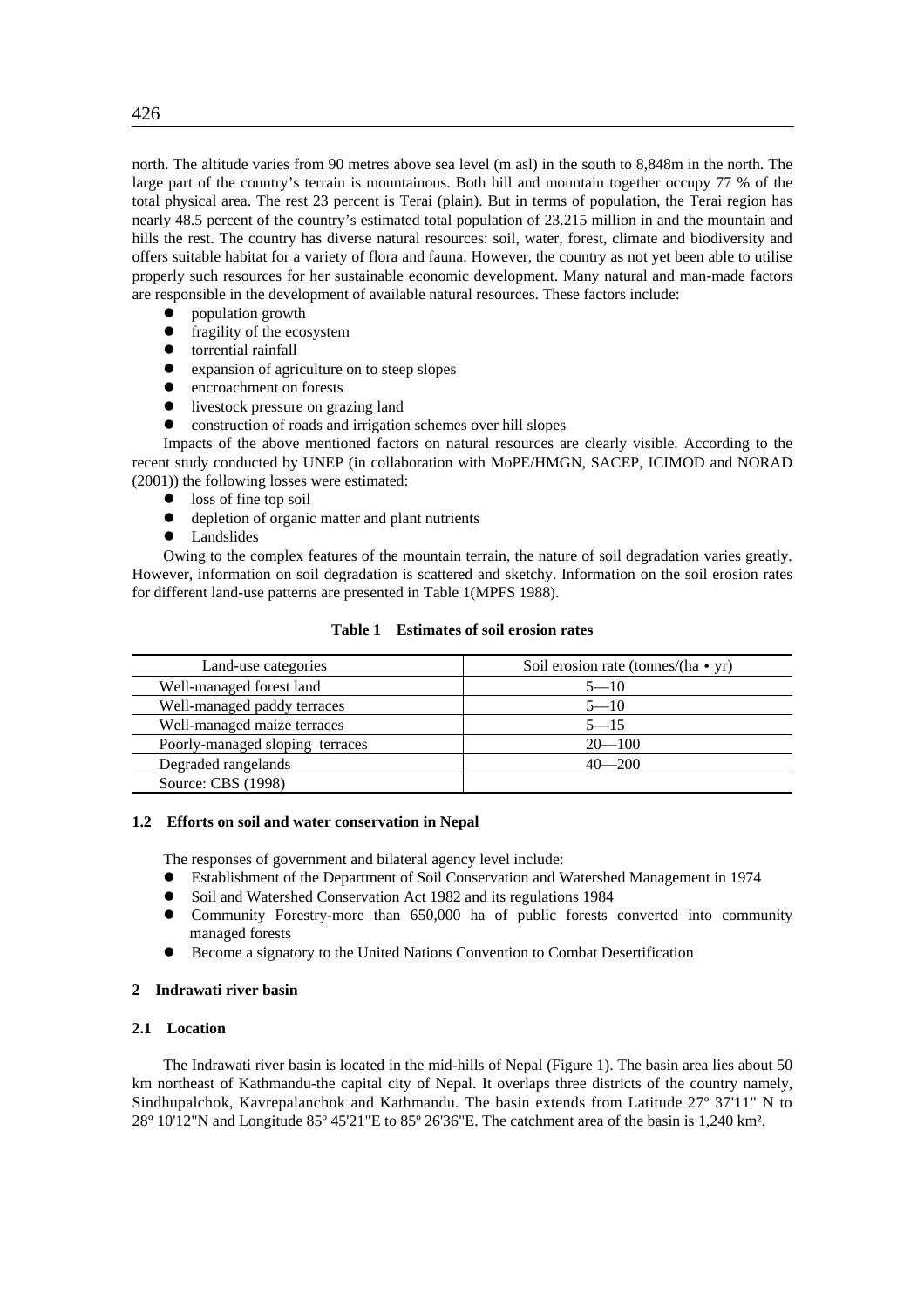north. The altitude varies from 90 metres above sea level (m asl) in the south to 8,848m in the north. The large part of the country's terrain is mountainous. Both hill and mountain together occupy 77 % of the total physical area. The rest 23 percent is Terai (plain). But in terms of population, the Terai region has nearly 48.5 percent of the country's estimated total population of 23.215 million in and the mountain and hills the rest. The country has diverse natural resources: soil, water, forest, climate and biodiversity and offers suitable habitat for a variety of flora and fauna. However, the country as not yet been able to utilise properly such resources for her sustainable economic development. Many natural and man-made factors are responsible in the development of available natural resources. These factors include:

- population growth
- $\bullet$  fragility of the ecosystem
- $\bullet$  torrential rainfall
- expansion of agriculture on to steep slopes
- encroachment on forests
- livestock pressure on grazing land
- construction of roads and irrigation schemes over hill slopes

Impacts of the above mentioned factors on natural resources are clearly visible. According to the recent study conducted by UNEP (in collaboration with MoPE/HMGN, SACEP, ICIMOD and NORAD (2001)) the following losses were estimated:

- $\bullet$  loss of fine top soil
- $\bullet$  depletion of organic matter and plant nutrients
- Landslides

Owing to the complex features of the mountain terrain, the nature of soil degradation varies greatly. However, information on soil degradation is scattered and sketchy. Information on the soil erosion rates for different land-use patterns are presented in Table 1(MPFS 1988).

## **Table 1 Estimates of soil erosion rates**

| Land-use categories             | Soil erosion rate (tonnes/(ha • yr) |
|---------------------------------|-------------------------------------|
| Well-managed forest land        | $5 - 10$                            |
| Well-managed paddy terraces     | $5 - 10$                            |
| Well-managed maize terraces     | $5 - 15$                            |
| Poorly-managed sloping terraces | $20 - 100$                          |
| Degraded rangelands             | $40 - 200$                          |
| Source: CBS (1998)              |                                     |

## **1.2 Efforts on soil and water conservation in Nepal**

The responses of government and bilateral agency level include:

- Establishment of the Department of Soil Conservation and Watershed Management in 1974
- Soil and Watershed Conservation Act 1982 and its regulations 1984
- Community Forestry-more than 650,000 ha of public forests converted into community managed forests
- Become a signatory to the United Nations Convention to Combat Desertification

#### **2 Indrawati river basin**

# **2.1 Location**

The Indrawati river basin is located in the mid-hills of Nepal (Figure 1). The basin area lies about 50 km northeast of Kathmandu-the capital city of Nepal. It overlaps three districts of the country namely, Sindhupalchok, Kavrepalanchok and Kathmandu. The basin extends from Latitude 27º 37'11" N to 28º 10'12"N and Longitude 85º 45'21"E to 85º 26'36"E. The catchment area of the basin is 1,240 km².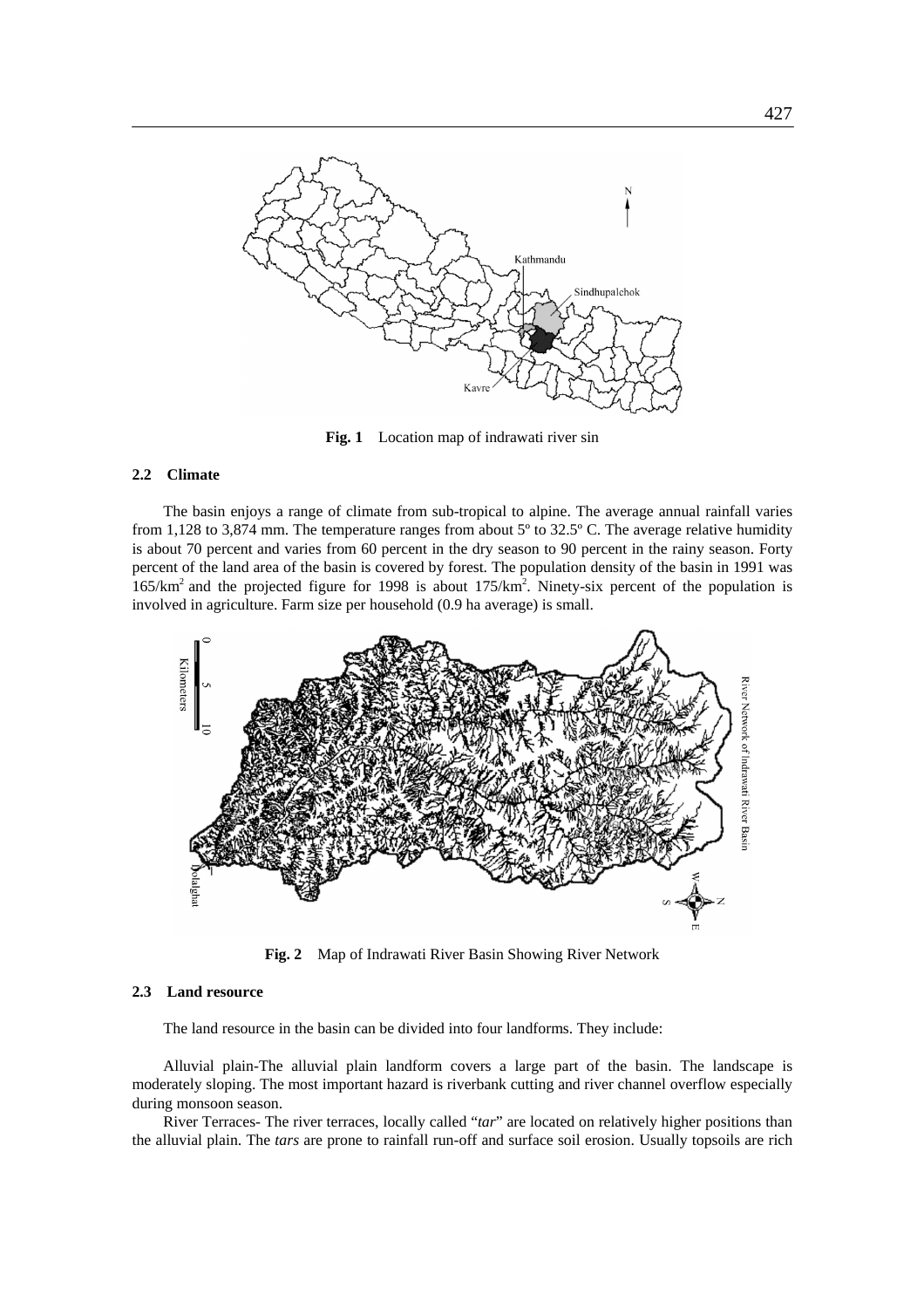

**Fig. 1** Location map of indrawati river sin

## **2.2 Climate**

The basin enjoys a range of climate from sub-tropical to alpine. The average annual rainfall varies from 1,128 to 3,874 mm. The temperature ranges from about 5º to 32.5º C. The average relative humidity is about 70 percent and varies from 60 percent in the dry season to 90 percent in the rainy season. Forty percent of the land area of the basin is covered by forest. The population density of the basin in 1991 was 165/km2 and the projected figure for 1998 is about 175/km2 . Ninety-six percent of the population is involved in agriculture. Farm size per household (0.9 ha average) is small.



**Fig. 2** Map of Indrawati River Basin Showing River Network

# **2.3 Land resource**

The land resource in the basin can be divided into four landforms. They include:

Alluvial plain-The alluvial plain landform covers a large part of the basin. The landscape is moderately sloping. The most important hazard is riverbank cutting and river channel overflow especially during monsoon season.

River Terraces- The river terraces, locally called "*tar*" are located on relatively higher positions than the alluvial plain. The *tars* are prone to rainfall run-off and surface soil erosion. Usually topsoils are rich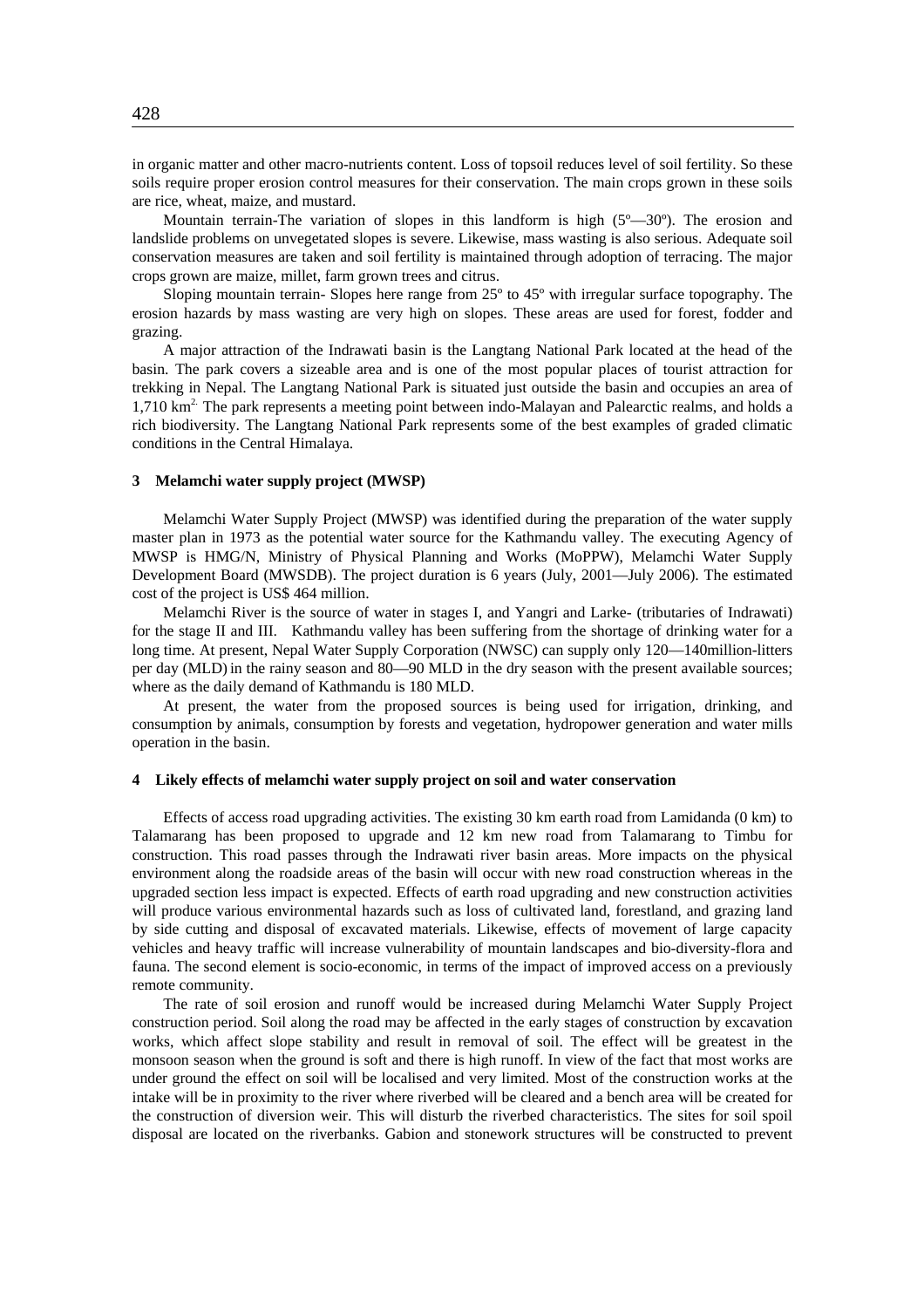in organic matter and other macro-nutrients content. Loss of topsoil reduces level of soil fertility. So these soils require proper erosion control measures for their conservation. The main crops grown in these soils are rice, wheat, maize, and mustard.

Mountain terrain-The variation of slopes in this landform is high (5°–30°). The erosion and landslide problems on unvegetated slopes is severe. Likewise, mass wasting is also serious. Adequate soil conservation measures are taken and soil fertility is maintained through adoption of terracing. The major crops grown are maize, millet, farm grown trees and citrus.

Sloping mountain terrain- Slopes here range from 25º to 45º with irregular surface topography. The erosion hazards by mass wasting are very high on slopes. These areas are used for forest, fodder and grazing.

A major attraction of the Indrawati basin is the Langtang National Park located at the head of the basin. The park covers a sizeable area and is one of the most popular places of tourist attraction for trekking in Nepal. The Langtang National Park is situated just outside the basin and occupies an area of 1,710 km<sup>2</sup>. The park represents a meeting point between indo-Malayan and Palearctic realms, and holds a rich biodiversity. The Langtang National Park represents some of the best examples of graded climatic conditions in the Central Himalaya.

### **3 Melamchi water supply project (MWSP)**

Melamchi Water Supply Project (MWSP) was identified during the preparation of the water supply master plan in 1973 as the potential water source for the Kathmandu valley. The executing Agency of MWSP is HMG/N, Ministry of Physical Planning and Works (MoPPW), Melamchi Water Supply Development Board (MWSDB). The project duration is 6 years (July, 2001—July 2006). The estimated cost of the project is US\$ 464 million.

Melamchi River is the source of water in stages I, and Yangri and Larke- (tributaries of Indrawati) for the stage II and III. Kathmandu valley has been suffering from the shortage of drinking water for a long time. At present, Nepal Water Supply Corporation (NWSC) can supply only 120—140million-litters per day (MLD) in the rainy season and 80—90 MLD in the dry season with the present available sources; where as the daily demand of Kathmandu is 180 MLD.

At present, the water from the proposed sources is being used for irrigation, drinking, and consumption by animals, consumption by forests and vegetation, hydropower generation and water mills operation in the basin.

## **4 Likely effects of melamchi water supply project on soil and water conservation**

Effects of access road upgrading activities. The existing 30 km earth road from Lamidanda (0 km) to Talamarang has been proposed to upgrade and 12 km new road from Talamarang to Timbu for construction. This road passes through the Indrawati river basin areas. More impacts on the physical environment along the roadside areas of the basin will occur with new road construction whereas in the upgraded section less impact is expected. Effects of earth road upgrading and new construction activities will produce various environmental hazards such as loss of cultivated land, forestland, and grazing land by side cutting and disposal of excavated materials. Likewise, effects of movement of large capacity vehicles and heavy traffic will increase vulnerability of mountain landscapes and bio-diversity-flora and fauna. The second element is socio-economic, in terms of the impact of improved access on a previously remote community.

The rate of soil erosion and runoff would be increased during Melamchi Water Supply Project construction period. Soil along the road may be affected in the early stages of construction by excavation works, which affect slope stability and result in removal of soil. The effect will be greatest in the monsoon season when the ground is soft and there is high runoff. In view of the fact that most works are under ground the effect on soil will be localised and very limited. Most of the construction works at the intake will be in proximity to the river where riverbed will be cleared and a bench area will be created for the construction of diversion weir. This will disturb the riverbed characteristics. The sites for soil spoil disposal are located on the riverbanks. Gabion and stonework structures will be constructed to prevent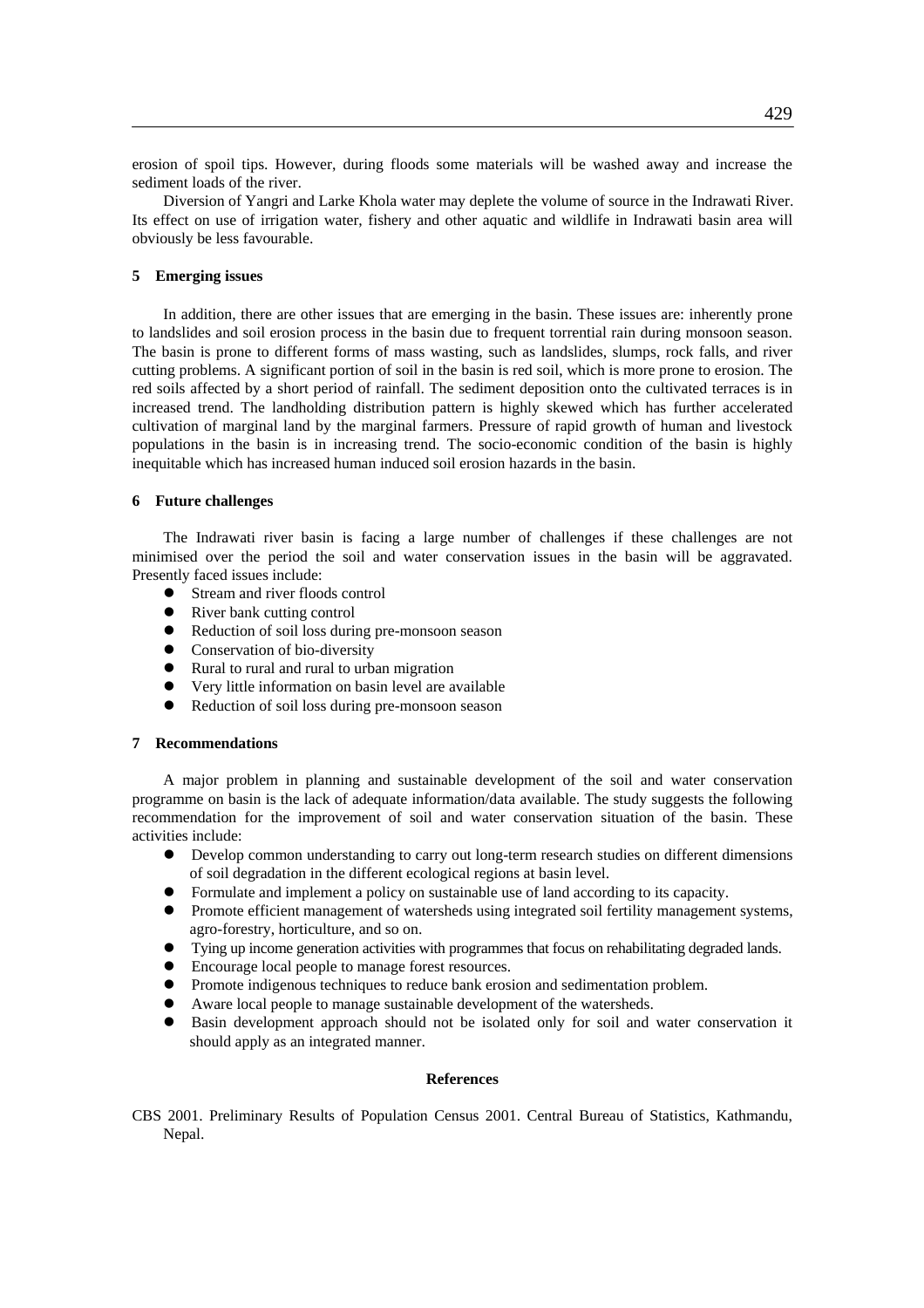erosion of spoil tips. However, during floods some materials will be washed away and increase the sediment loads of the river.

Diversion of Yangri and Larke Khola water may deplete the volume of source in the Indrawati River. Its effect on use of irrigation water, fishery and other aquatic and wildlife in Indrawati basin area will obviously be less favourable.

## **5 Emerging issues**

In addition, there are other issues that are emerging in the basin. These issues are: inherently prone to landslides and soil erosion process in the basin due to frequent torrential rain during monsoon season. The basin is prone to different forms of mass wasting, such as landslides, slumps, rock falls, and river cutting problems. A significant portion of soil in the basin is red soil, which is more prone to erosion. The red soils affected by a short period of rainfall. The sediment deposition onto the cultivated terraces is in increased trend. The landholding distribution pattern is highly skewed which has further accelerated cultivation of marginal land by the marginal farmers. Pressure of rapid growth of human and livestock populations in the basin is in increasing trend. The socio-economic condition of the basin is highly inequitable which has increased human induced soil erosion hazards in the basin.

## **6 Future challenges**

The Indrawati river basin is facing a large number of challenges if these challenges are not minimised over the period the soil and water conservation issues in the basin will be aggravated. Presently faced issues include:

- $\bullet$  Stream and river floods control
- $\bullet$  River bank cutting control
- Reduction of soil loss during pre-monsoon season
- Conservation of bio-diversity
- Rural to rural and rural to urban migration
- Very little information on basin level are available
- Reduction of soil loss during pre-monsoon season

#### **7 Recommendations**

A major problem in planning and sustainable development of the soil and water conservation programme on basin is the lack of adequate information/data available. The study suggests the following recommendation for the improvement of soil and water conservation situation of the basin. These activities include:

- Develop common understanding to carry out long-term research studies on different dimensions of soil degradation in the different ecological regions at basin level.
- Formulate and implement a policy on sustainable use of land according to its capacity.
- Promote efficient management of watersheds using integrated soil fertility management systems, agro-forestry, horticulture, and so on.
- Tying up income generation activities with programmes that focus on rehabilitating degraded lands.
- $\bullet$  Encourage local people to manage forest resources.
- Promote indigenous techniques to reduce bank erosion and sedimentation problem.
- Aware local people to manage sustainable development of the watersheds.
- z Basin development approach should not be isolated only for soil and water conservation it should apply as an integrated manner.

## **References**

CBS 2001. Preliminary Results of Population Census 2001. Central Bureau of Statistics, Kathmandu, Nepal.